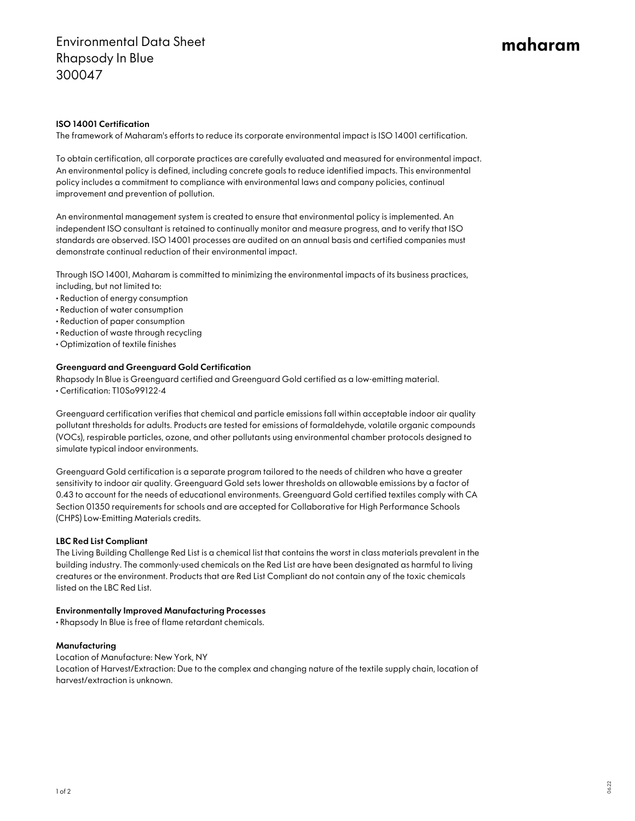# maharam

## ISO 14001 Certification

The framework of Maharam's efforts to reduce its corporate environmental impact is ISO 14001 certification.

To obtain certification, all corporate practices are carefully evaluated and measured for environmental impact. An environmental policy is defined, including concrete goals to reduce identified impacts. This environmental policy includes a commitment to compliance with environmental laws and company policies, continual improvement and prevention of pollution.

An environmental management system is created to ensure that environmental policy is implemented. An independent ISO consultant is retained to continually monitor and measure progress, and to verify that ISO standards are observed. ISO 14001 processes are audited on an annual basis and certified companies must demonstrate continual reduction of their environmental impact.

Through ISO 14001, Maharam is committed to minimizing the environmental impacts of its business practices, including, but not limited to:

- Reduction of energy consumption
- Reduction of water consumption
- Reduction of paper consumption
- Reduction of waste through recycling
- Optimization of textile finishes

#### Greenguard and Greenguard Gold Certification

Rhapsody In Blue is Greenguard certified and Greenguard Gold certified as a low-emitting material. • Certification: T10So99122-4

Greenguard certification verifies that chemical and particle emissions fall within acceptable indoor air quality pollutant thresholds for adults. Products are tested for emissions of formaldehyde, volatile organic compounds (VOCs), respirable particles, ozone, and other pollutants using environmental chamber protocols designed to simulate typical indoor environments.

Greenguard Gold certification is a separate program tailored to the needs of children who have a greater sensitivity to indoor air quality. Greenguard Gold sets lower thresholds on allowable emissions by a factor of 0.43 to account for the needs of educational environments. Greenguard Gold certified textiles comply with CA Section 01350 requirements for schools and are accepted for Collaborative for High Performance Schools (CHPS) Low-Emitting Materials credits.

### LBC Red List Compliant

The Living Building Challenge Red List is a chemical list that contains the worst in class materials prevalent in the building industry. The commonly-used chemicals on the Red List are have been designated as harmful to living creatures or the environment. Products that are Red List Compliant do not contain any of the toxic chemicals listed on the LBC Red List.

### Environmentally Improved Manufacturing Processes

• Rhapsody In Blue is free of flame retardant chemicals.

### Manufacturing

Location of Manufacture: New York, NY Location of Harvest/Extraction: Due to the complex and changing nature of the textile supply chain, location of harvest/extraction is unknown.